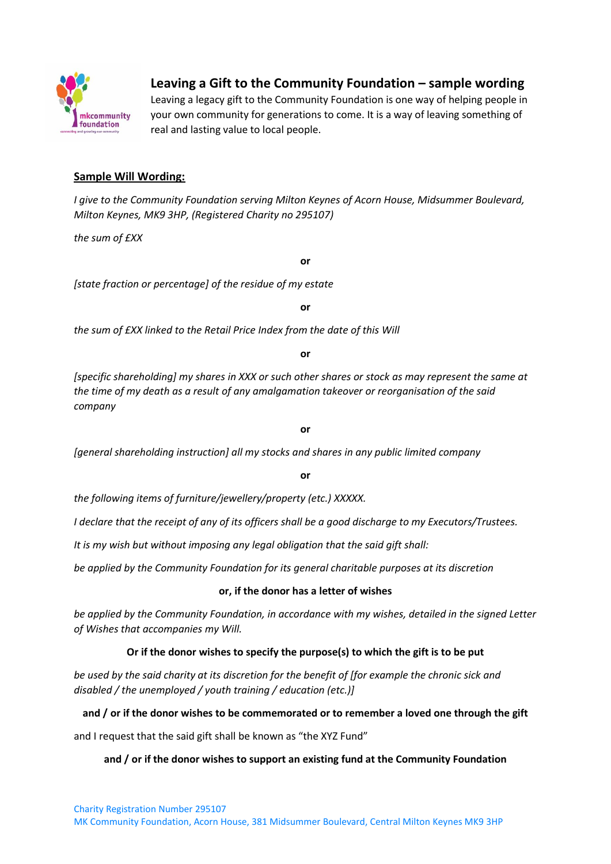

# **Leaving a Gift to the Community Foundation – sample wording**

Leaving a legacy gift to the Community Foundation is one way of helping people in your own community for generations to come. It is a way of leaving something of real and lasting value to local people.

# **Sample Will Wording:**

*I give to the Community Foundation serving Milton Keynes of Acorn House, Midsummer Boulevard, Milton Keynes, MK9 3HP, (Registered Charity no 295107)* 

*the sum of £XX* 

**or**

*[state fraction or percentage] of the residue of my estate*

**or**

*the sum of £XX linked to the Retail Price Index from the date of this Will* 

**or**

*[specific shareholding] my shares in XXX or such other shares or stock as may represent the same at the time of my death as a result of any amalgamation takeover or reorganisation of the said company*

**or**

*[general shareholding instruction] all my stocks and shares in any public limited company* 

**or**

*the following items of furniture/jewellery/property (etc.) XXXXX.* 

*I declare that the receipt of any of its officers shall be a good discharge to my Executors/Trustees.* 

*It is my wish but without imposing any legal obligation that the said gift shall:* 

*be applied by the Community Foundation for its general charitable purposes at its discretion*

### **or, if the donor has a letter of wishes**

*be applied by the Community Foundation, in accordance with my wishes, detailed in the signed Letter of Wishes that accompanies my Will.* 

# **Or if the donor wishes to specify the purpose(s) to which the gift is to be put**

*be used by the said charity at its discretion for the benefit of [for example the chronic sick and disabled / the unemployed / youth training / education (etc.)]* 

# **and / or if the donor wishes to be commemorated or to remember a loved one through the gift**

and I request that the said gift shall be known as "the XYZ Fund"

# **and / or if the donor wishes to support an existing fund at the Community Foundation**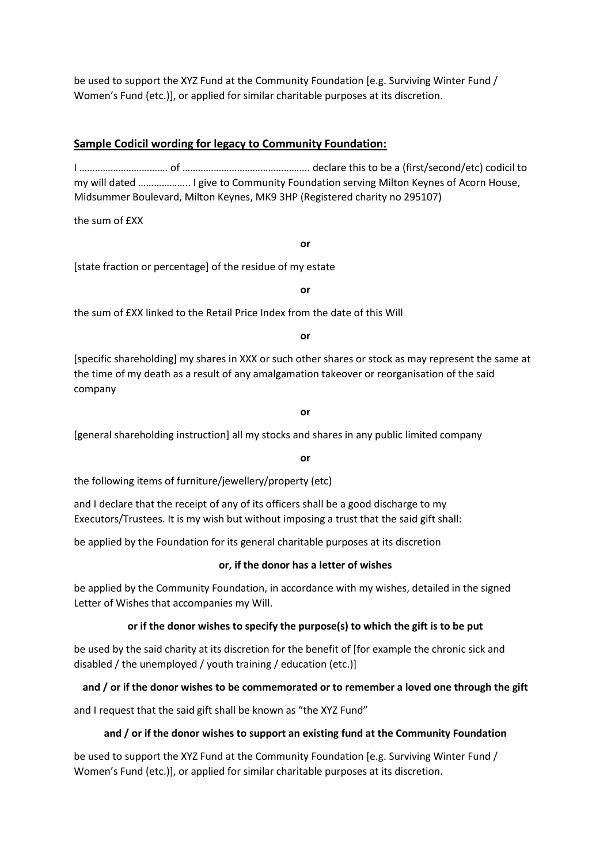be used to support the XYZ Fund at the Community Foundation [e.g. Surviving Winter Fund / Women's Fund (etc.)], or applied for similar charitable purposes at its discretion.

# **Sample Codicil wording for legacy to Community Foundation:**

I ……………………………. of …………………………………………. declare this to be a (first/second/etc) codicil to my will dated ……………….. I give to Community Foundation serving Milton Keynes of Acorn House, Midsummer Boulevard, Milton Keynes, MK9 3HP (Registered charity no 295107)

the sum of **FXX** 

**or**

[state fraction or percentage] of the residue of my estate

**or**

the sum of £XX linked to the Retail Price Index from the date of this Will

**or**

[specific shareholding] my shares in XXX or such other shares or stock as may represent the same at the time of my death as a result of any amalgamation takeover or reorganisation of the said company

**or**

[general shareholding instruction] all my stocks and shares in any public limited company

**or**

the following items of furniture/jewellery/property (etc)

and I declare that the receipt of any of its officers shall be a good discharge to my Executors/Trustees. It is my wish but without imposing a trust that the said gift shall:

be applied by the Foundation for its general charitable purposes at its discretion

### **or, if the donor has a letter of wishes**

be applied by the Community Foundation, in accordance with my wishes, detailed in the signed Letter of Wishes that accompanies my Will.

# **or if the donor wishes to specify the purpose(s) to which the gift is to be put**

be used by the said charity at its discretion for the benefit of [for example the chronic sick and disabled / the unemployed / youth training / education (etc.)]

# **and / or if the donor wishes to be commemorated or to remember a loved one through the gift**

and I request that the said gift shall be known as "the XYZ Fund"

# **and / or if the donor wishes to support an existing fund at the Community Foundation**

be used to support the XYZ Fund at the Community Foundation [e.g. Surviving Winter Fund / Women's Fund (etc.)], or applied for similar charitable purposes at its discretion.